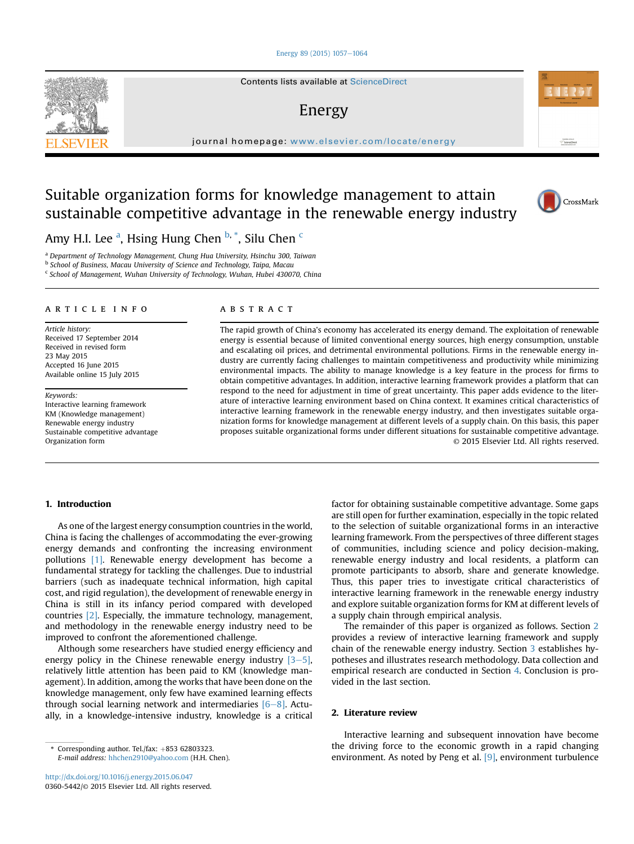#### [Energy 89 \(2015\) 1057](http://dx.doi.org/10.1016/j.energy.2015.06.047)-[1064](http://dx.doi.org/10.1016/j.energy.2015.06.047)

Contents lists available at ScienceDirect

### Energy

journal homepage: [www.elsevier.com/locate/energy](http://www.elsevier.com/locate/energy)

## Suitable organization forms for knowledge management to attain sustainable competitive advantage in the renewable energy industry

Amy H.I. Lee <sup>a</sup>, Hsing Hung Chen <sup>b,</sup> \*, Silu Chen <sup>c</sup>

<sup>a</sup> Department of Technology Management, Chung Hua University, Hsinchu 300, Taiwan **b School of Business, Macau University of Science and Technology, Taipa, Macau** 

<sup>c</sup> School of Management, Wuhan University of Technology, Wuhan, Hubei 430070, China

#### article info

Article history: Received 17 September 2014 Received in revised form 23 May 2015 Accepted 16 June 2015 Available online 15 July 2015

Keywords: Interactive learning framework KM (Knowledge management) Renewable energy industry Sustainable competitive advantage Organization form

#### **ABSTRACT**

The rapid growth of China's economy has accelerated its energy demand. The exploitation of renewable energy is essential because of limited conventional energy sources, high energy consumption, unstable and escalating oil prices, and detrimental environmental pollutions. Firms in the renewable energy industry are currently facing challenges to maintain competitiveness and productivity while minimizing environmental impacts. The ability to manage knowledge is a key feature in the process for firms to obtain competitive advantages. In addition, interactive learning framework provides a platform that can respond to the need for adjustment in time of great uncertainty. This paper adds evidence to the literature of interactive learning environment based on China context. It examines critical characteristics of interactive learning framework in the renewable energy industry, and then investigates suitable organization forms for knowledge management at different levels of a supply chain. On this basis, this paper proposes suitable organizational forms under different situations for sustainable competitive advantage. © 2015 Elsevier Ltd. All rights reserved.

#### 1. Introduction

As one of the largest energy consumption countries in the world, China is facing the challenges of accommodating the ever-growing energy demands and confronting the increasing environment pollutions [1]. Renewable energy development has become a fundamental strategy for tackling the challenges. Due to industrial barriers (such as inadequate technical information, high capital cost, and rigid regulation), the development of renewable energy in China is still in its infancy period compared with developed countries [2]. Especially, the immature technology, management, and methodology in the renewable energy industry need to be improved to confront the aforementioned challenge.

Although some researchers have studied energy efficiency and energy policy in the Chinese renewable energy industry  $[3-5]$ , relatively little attention has been paid to KM (knowledge management). In addition, among the works that have been done on the knowledge management, only few have examined learning effects through social learning network and intermediaries  $[6-8]$ . Actually, in a knowledge-intensive industry, knowledge is a critical

are still open for further examination, especially in the topic related to the selection of suitable organizational forms in an interactive learning framework. From the perspectives of three different stages of communities, including science and policy decision-making, renewable energy industry and local residents, a platform can promote participants to absorb, share and generate knowledge. Thus, this paper tries to investigate critical characteristics of interactive learning framework in the renewable energy industry and explore suitable organization forms for KM at different levels of a supply chain through empirical analysis. The remainder of this paper is organized as follows. Section 2

factor for obtaining sustainable competitive advantage. Some gaps

provides a review of interactive learning framework and supply chain of the renewable energy industry. Section 3 establishes hypotheses and illustrates research methodology. Data collection and empirical research are conducted in Section 4. Conclusion is provided in the last section.

#### 2. Literature review

Interactive learning and subsequent innovation have become the driving force to the economic growth in a rapid changing environment. As noted by Peng et al. [9], environment turbulence





Antala utora<br>ScienceDirec

Corresponding author. Tel./fax:  $+853$  62803323. E-mail address: [hhchen2910@yahoo.com](mailto:hhchen2910@yahoo.com) (H.H. Chen).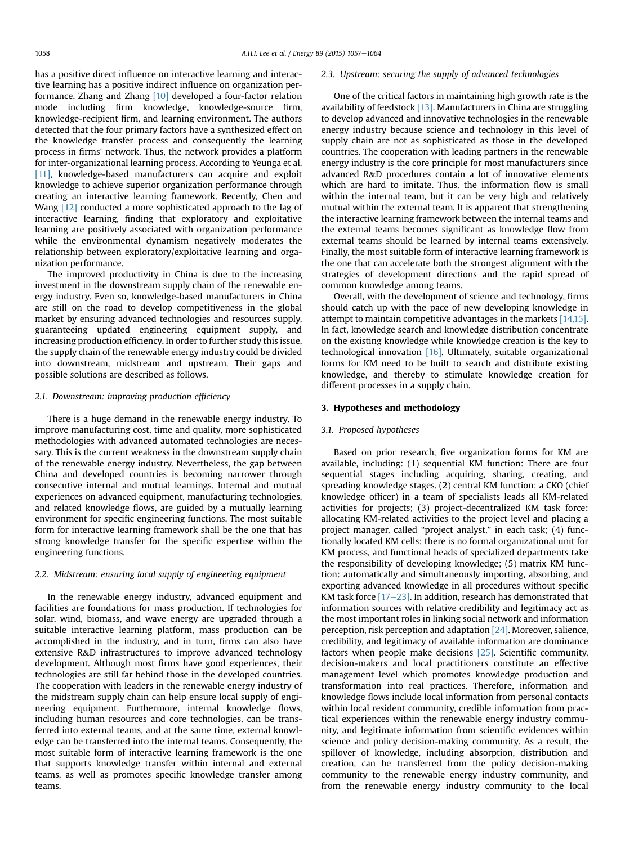has a positive direct influence on interactive learning and interactive learning has a positive indirect influence on organization performance. Zhang and Zhang [10] developed a four-factor relation mode including firm knowledge, knowledge-source firm, knowledge-recipient firm, and learning environment. The authors detected that the four primary factors have a synthesized effect on the knowledge transfer process and consequently the learning process in firms' network. Thus, the network provides a platform for inter-organizational learning process. According to Yeunga et al. [11], knowledge-based manufacturers can acquire and exploit knowledge to achieve superior organization performance through creating an interactive learning framework. Recently, Chen and Wang [12] conducted a more sophisticated approach to the lag of interactive learning, finding that exploratory and exploitative learning are positively associated with organization performance while the environmental dynamism negatively moderates the relationship between exploratory/exploitative learning and organization performance.

The improved productivity in China is due to the increasing investment in the downstream supply chain of the renewable energy industry. Even so, knowledge-based manufacturers in China are still on the road to develop competitiveness in the global market by ensuring advanced technologies and resources supply, guaranteeing updated engineering equipment supply, and increasing production efficiency. In order to further study this issue, the supply chain of the renewable energy industry could be divided into downstream, midstream and upstream. Their gaps and possible solutions are described as follows.

#### 2.1. Downstream: improving production efficiency

There is a huge demand in the renewable energy industry. To improve manufacturing cost, time and quality, more sophisticated methodologies with advanced automated technologies are necessary. This is the current weakness in the downstream supply chain of the renewable energy industry. Nevertheless, the gap between China and developed countries is becoming narrower through consecutive internal and mutual learnings. Internal and mutual experiences on advanced equipment, manufacturing technologies, and related knowledge flows, are guided by a mutually learning environment for specific engineering functions. The most suitable form for interactive learning framework shall be the one that has strong knowledge transfer for the specific expertise within the engineering functions.

#### 2.2. Midstream: ensuring local supply of engineering equipment

In the renewable energy industry, advanced equipment and facilities are foundations for mass production. If technologies for solar, wind, biomass, and wave energy are upgraded through a suitable interactive learning platform, mass production can be accomplished in the industry, and in turn, firms can also have extensive R&D infrastructures to improve advanced technology development. Although most firms have good experiences, their technologies are still far behind those in the developed countries. The cooperation with leaders in the renewable energy industry of the midstream supply chain can help ensure local supply of engineering equipment. Furthermore, internal knowledge flows, including human resources and core technologies, can be transferred into external teams, and at the same time, external knowledge can be transferred into the internal teams. Consequently, the most suitable form of interactive learning framework is the one that supports knowledge transfer within internal and external teams, as well as promotes specific knowledge transfer among teams.

#### 2.3. Upstream: securing the supply of advanced technologies

One of the critical factors in maintaining high growth rate is the availability of feedstock  $[13]$ . Manufacturers in China are struggling to develop advanced and innovative technologies in the renewable energy industry because science and technology in this level of supply chain are not as sophisticated as those in the developed countries. The cooperation with leading partners in the renewable energy industry is the core principle for most manufacturers since advanced R&D procedures contain a lot of innovative elements which are hard to imitate. Thus, the information flow is small within the internal team, but it can be very high and relatively mutual within the external team. It is apparent that strengthening the interactive learning framework between the internal teams and the external teams becomes significant as knowledge flow from external teams should be learned by internal teams extensively. Finally, the most suitable form of interactive learning framework is the one that can accelerate both the strongest alignment with the strategies of development directions and the rapid spread of common knowledge among teams.

Overall, with the development of science and technology, firms should catch up with the pace of new developing knowledge in attempt to maintain competitive advantages in the markets [14,15]. In fact, knowledge search and knowledge distribution concentrate on the existing knowledge while knowledge creation is the key to technological innovation [16]. Ultimately, suitable organizational forms for KM need to be built to search and distribute existing knowledge, and thereby to stimulate knowledge creation for different processes in a supply chain.

#### 3. Hypotheses and methodology

#### 3.1. Proposed hypotheses

Based on prior research, five organization forms for KM are available, including: (1) sequential KM function: There are four sequential stages including acquiring, sharing, creating, and spreading knowledge stages. (2) central KM function: a CKO (chief knowledge officer) in a team of specialists leads all KM-related activities for projects; (3) project-decentralized KM task force: allocating KM-related activities to the project level and placing a project manager, called "project analyst," in each task; (4) functionally located KM cells: there is no formal organizational unit for KM process, and functional heads of specialized departments take the responsibility of developing knowledge; (5) matrix KM function: automatically and simultaneously importing, absorbing, and exporting advanced knowledge in all procedures without specific KM task force  $[17-23]$ . In addition, research has demonstrated that information sources with relative credibility and legitimacy act as the most important roles in linking social network and information perception, risk perception and adaptation [24]. Moreover, salience, credibility, and legitimacy of available information are dominance factors when people make decisions  $[25]$ . Scientific community, decision-makers and local practitioners constitute an effective management level which promotes knowledge production and transformation into real practices. Therefore, information and knowledge flows include local information from personal contacts within local resident community, credible information from practical experiences within the renewable energy industry community, and legitimate information from scientific evidences within science and policy decision-making community. As a result, the spillover of knowledge, including absorption, distribution and creation, can be transferred from the policy decision-making community to the renewable energy industry community, and from the renewable energy industry community to the local